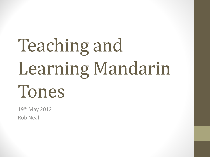# Teaching and Learning Mandarin Tones

19th May 2012 Rob Neal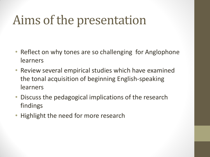## Aims of the presentation

- Reflect on why tones are so challenging for Anglophone learners
- Review several empirical studies which have examined the tonal acquisition of beginning English-speaking learners
- Discuss the pedagogical implications of the research findings
- Highlight the need for more research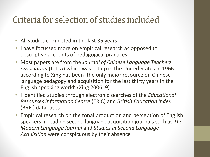#### Criteria for selection of studies included

- All studies completed in the last 35 years
- I have focussed more on empirical research as opposed to descriptive accounts of pedagogical practices
- Most papers are from the *Journal of Chinese Language Teachers Association* (JCLTA) which was set up in the United States in 1966 – according to Xing has been 'the only major resource on Chinese language pedagogy and acquisition for the last thirty years in the English speaking world' (Xing 2006: 9)
- I identified studies through electronic searches of the *Educational Resources Information Centre* (ERIC) and *British Education Index*  (BREI) databases
- Empirical research on the tonal production and perception of English speakers in leading second language acquisition journals such as *The Modern Language Journal* and *Studies in Second Language Acquisition* were conspicuous by their absence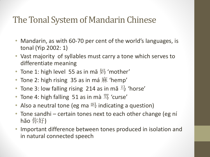#### The Tonal System of Mandarin Chinese

- Mandarin, as with 60-70 per cent of the world's languages, is tonal (Yip 2002: 1)
- Vast majority of syllables must carry a tone which serves to differentiate meaning
- Tone 1: high level 55 as in ma  $\overline{\mathcal{P}}$  'mother'
- Tone 2: high rising 35 as in má  $\overline{R}$  'hemp'
- Tone 3: low falling rising 214 as in mă  $\frac{\square}{\rightarrow}$  'horse'
- Tone 4: high falling 51 as in mà  $\frac{m}{3}$  'curse'
- Also a neutral tone (eg ma 吗 indicating a question)
- Tone sandhi certain tones next to each other change (eg ní hăo 你好)
- Important difference between tones produced in isolation and in natural connected speech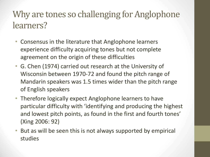## Why are tones so challenging for Anglophone learners?

- Consensus in the literature that Anglophone learners experience difficulty acquiring tones but not complete agreement on the origin of these difficulties
- G. Chen (1974) carried out research at the University of Wisconsin between 1970-72 and found the pitch range of Mandarin speakers was 1.5 times wider than the pitch range of English speakers
- Therefore logically expect Anglophone learners to have particular difficulty with 'identifying and producing the highest and lowest pitch points, as found in the first and fourth tones' (Xing 2006: 92)
- But as will be seen this is not always supported by empirical studies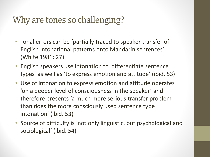## Why are tones so challenging?

- Tonal errors can be 'partially traced to speaker transfer of English intonational patterns onto Mandarin sentences' (White 1981: 27)
- English speakers use intonation to 'differentiate sentence types' as well as 'to express emotion and attitude' (ibid. 53)
- Use of intonation to express emotion and attitude operates 'on a deeper level of consciousness in the speaker' and therefore presents 'a much more serious transfer problem than does the more consciously used sentence type intonation' (ibid. 53)
- Source of difficulty is 'not only linguistic, but psychological and sociological' (ibid. 54)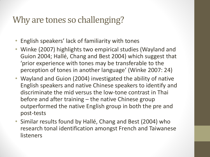## Why are tones so challenging?

- English speakers' lack of familiarity with tones
- Winke (2007) highlights two empirical studies (Wayland and Guion 2004; Hallé, Chang and Best 2004) which suggest that 'prior experience with tones may be transferable to the perception of tones in another language' (Winke 2007: 24)
- Wayland and Guion (2004) investigated the ability of native English speakers and native Chinese speakers to identify and discriminate the mid versus the low-tone contrast in Thai before and after training – the native Chinese group outperformed the native English group in both the pre and post-tests
- Similar results found by Hallé, Chang and Best (2004) who research tonal identification amongst French and Taiwanese listeners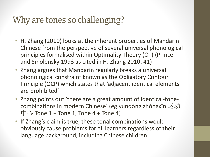## Why are tones so challenging?

- H. Zhang (2010) looks at the inherent properties of Mandarin Chinese from the perspective of several universal phonological principles formalised within Optimality Theory (OT) (Prince and Smolensky 1993 as cited in H. Zhang 2010: 41)
- Zhang argues that Mandarin regularly breaks a universal phonological constraint known as the Obligatory Contour Principle (OCP) which states that 'adjacent identical elements are prohibited'
- Zhang points out 'there are a great amount of identical-tonecombinations in modern Chinese' (eg yùndòng zhōngxīn 运动 中心 Tone  $1$  + Tone 1, Tone 4 + Tone 4)
- If Zhang's claim is true, these tonal combinations would obviously cause problems for all learners regardless of their language background, including Chinese children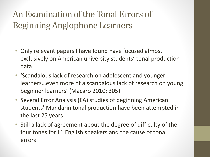## An Examination of the Tonal Errors of Beginning Anglophone Learners

- Only relevant papers I have found have focused almost exclusively on American university students' tonal production data
- 'Scandalous lack of research on adolescent and younger learners…even more of a scandalous lack of research on young beginner learners' (Macaro 2010: 305)
- Several Error Analysis (EA) studies of beginning American students' Mandarin tonal production have been attempted in the last 25 years
- Still a lack of agreement about the degree of difficulty of the four tones for L1 English speakers and the cause of tonal errors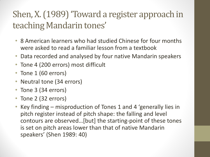## Shen, X. (1989) 'Toward a register approach in teaching Mandarin tones'

- 8 American learners who had studied Chinese for four months were asked to read a familiar lesson from a textbook
- Data recorded and analysed by four native Mandarin speakers
- Tone 4 (200 errors) most difficult
- Tone 1 (60 errors)
- Neutral tone (34 errors)
- Tone 3 (34 errors)
- Tone 2 (32 errors)
- Key finding misproduction of Tones 1 and 4 'generally lies in pitch register instead of pitch shape: the falling and level contours are observed…[but] the starting-point of these tones is set on pitch areas lower than that of native Mandarin speakers' (Shen 1989: 40)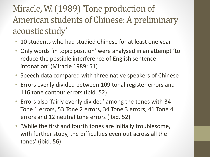## Miracle, W. (1989) 'Tone production of American students of Chinese: A preliminary acoustic study'

- 10 students who had studied Chinese for at least one year
- Only words 'in topic position' were analysed in an attempt 'to reduce the possible interference of English sentence intonation' (Miracle 1989: 51)
- Speech data compared with three native speakers of Chinese
- Errors evenly divided between 109 tonal register errors and 116 tone contour errors (ibid. 52)
- Errors also 'fairly evenly divided' among the tones with 34 Tone 1 errors, 53 Tone 2 errors, 34 Tone 3 errors, 41 Tone 4 errors and 12 neutral tone errors (ibid. 52)
- 'While the first and fourth tones are initially troublesome, with further study, the difficulties even out across all the tones' (ibid. 56)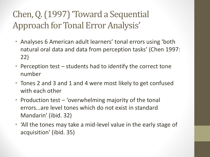## Chen, Q. (1997) 'Toward a Sequential Approach for Tonal Error Analysis'

- Analyses 6 American adult learners' tonal errors using 'both natural oral data and data from perception tasks' (Chen 1997: 22)
- Perception test students had to identify the correct tone number
- Tones 2 and 3 and 1 and 4 were most likely to get confused with each other
- Production test 'overwhelming majority of the tonal errors…are level tones which do not exist in standard Mandarin' (ibid. 32)
- 'All the tones may take a mid-level value in the early stage of acquisition' (ibid. 35)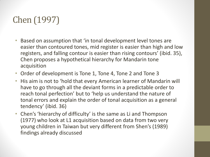## Chen (1997)

- Based on assumption that 'in tonal development level tones are easier than contoured tones, mid register is easier than high and low registers, and falling contour is easier than rising contours' (ibid. 35), Chen proposes a hypothetical hierarchy for Mandarin tone acquisition
- Order of development is Tone 1, Tone 4, Tone 2 and Tone 3
- His aim is not to 'hold that every American learner of Mandarin will have to go through all the deviant forms in a predictable order to reach tonal perfection' but to 'help us understand the nature of tonal errors and explain the order of tonal acquisition as a general tendency' (ibid. 36)
- Chen's 'hierarchy of difficulty' is the same as Li and Thompson (1977) who look at L1 acquisition based on data from two very young children in Taiwan but very different from Shen's (1989) findings already discussed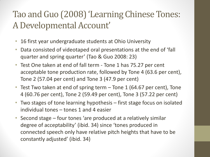## Tao and Guo (2008) 'Learning Chinese Tones: A Developmental Account'

- 16 first year undergraduate students at Ohio University
- Data consisted of videotaped oral presentations at the end of 'fall quarter and spring quarter' (Tao & Guo 2008: 23)
- Test One taken at end of fall term Tone 1 has 75.27 per cent acceptable tone production rate, followed by Tone 4 (63.6 per cent), Tone 2 (57.04 per cent) and Tone 3 (47.9 per cent)
- Test Two taken at end of spring term Tone 1 (64.67 per cent), Tone 4 (60.76 per cent), Tone 2 (59.49 per cent), Tone 3 (57.22 per cent)
- Two stages of tone learning hypothesis first stage focus on isolated individual tones – tones 1 and 4 easier
- Second stage four tones 'are produced at a relatively similar degree of acceptability' (ibid. 34) since 'tones produced in connected speech only have relative pitch heights that have to be constantly adjusted' (ibid. 34)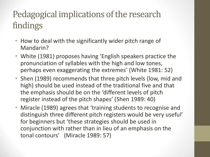## Pedagogical implications of the research findings

- How to deal with the significantly wider pitch range of Mandarin?
- White (1981) proposes having 'English speakers practice the pronunciation of syllables with the high and low tones, perhaps even exaggerating the extremes' (White 1981: 52)
- Shen (1989) recommends that three pitch levels (low, mid and high) should be used instead of the traditional five and that the emphasis should be on the 'different levels of pitch register instead of the pitch shapes' (Shen 1989: 40)
- Miracle (1989) agrees that 'training students to recognise and distinguish three different pitch registers would be very useful' for beginners but 'these strategies should be used in conjunction with rather than in lieu of an emphasis on the tonal contours' (Miracle 1989: 57)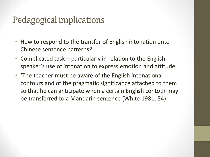#### Pedagogical implications

- How to respond to the transfer of English intonation onto Chinese sentence patterns?
- Complicated task particularly in relation to the English speaker's use of intonation to express emotion and attitude
- 'The teacher must be aware of the English intonational contours and of the pragmatic significance attached to them so that he can anticipate when a certain English contour may be transferred to a Mandarin sentence (White 1981: 54)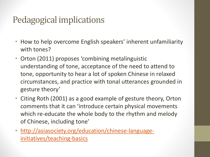## Pedagogical implications

- How to help overcome English speakers' inherent unfamiliarity with tones?
- Orton (2011) proposes 'combining metalinguistic understanding of tone, acceptance of the need to attend to tone, opportunity to hear a lot of spoken Chinese in relaxed circumstances, and practice with tonal utterances grounded in gesture theory'
- Citing Roth (2001) as a good example of gesture theory, Orton comments that it can 'introduce certain physical movements which re-educate the whole body to the rhythm and melody of Chinese, including tone'
- [http://asiasociety.org/education/chinese-language](http://asiasociety.org/education/chinese-language-initiatives/teaching-basics)[initiatives/teaching-basics](http://asiasociety.org/education/chinese-language-initiatives/teaching-basics)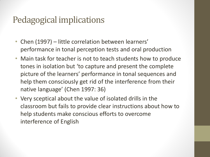### Pedagogical implications

- Chen (1997) little correlation between learners' performance in tonal perception tests and oral production
- Main task for teacher is not to teach students how to produce tones in isolation but 'to capture and present the complete picture of the learners' performance in tonal sequences and help them consciously get rid of the interference from their native language' (Chen 1997: 36)
- Very sceptical about the value of isolated drills in the classroom but fails to provide clear instructions about how to help students make conscious efforts to overcome interference of English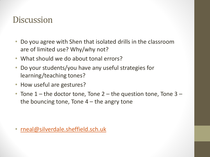#### **Discussion**

- Do you agree with Shen that isolated drills in the classroom are of limited use? Why/why not?
- What should we do about tonal errors?
- Do your students/you have any useful strategies for learning/teaching tones?
- How useful are gestures?
- Tone  $1$  the doctor tone, Tone 2 the question tone, Tone 3 the bouncing tone, Tone  $4$  – the angry tone

• [rneal@silverdale.sheffield.sch.uk](mailto:rneal@silverdale.sheffield.sch.uk)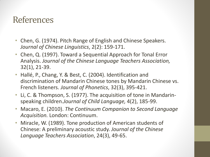#### References

- Chen, G. (1974). Pitch Range of English and Chinese Speakers. *Journal of Chinese Linguistics*, 2(2): 159-171.
- Chen, Q. (1997). Toward a Sequential Approach for Tonal Error Analysis. *Journal of the Chinese Language Teachers Association,*  32(1), 21-39.
- Hallé, P., Chang, Y. & Best, C. (2004). Identification and discrimination of Mandarin Chinese tones by Mandarin Chinese vs. French listeners. *Journal of Phonetics*, 32(3), 395-421.
- Li, C. & Thompson, S. (1977). The acquisition of tone in Mandarinspeaking children.*Journal of Child Language,* 4(2), 185-99.
- Macaro, E. (2010). *The Continuum Companion to Second Language Acquisition.* London: Continuum.
- Miracle, W. (1989). Tone production of American students of Chinese: A preliminary acoustic study. *Journal of the Chinese Language Teachers Association*, 24(3), 49-65.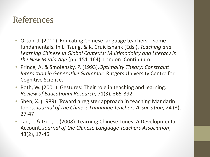#### References

- Orton, J. (2011). Educating Chinese language teachers some fundamentals. In L. Tsung, & K. Cruickshank (Eds.), *Teaching and Learning Chinese in Global Contexts: Multimodality and Literacy in the New Media Age* (pp. 151-164). London: Continuum.
- Prince, A. & Smolensky, P. (1993).*Optimality Theory: Constraint Interaction in Generative Grammar*. Rutgers University Centre for Cognitive Science.
- Roth, W. (2001). Gestures: Their role in teaching and learning. *Review of Educational Research*, 71(3), 365-392.
- Shen, X. (1989). Toward a register approach in teaching Mandarin tones. *Journal of the Chinese Language Teachers Association*, 24 (3), 27-47.
- Tao, L. & Guo, L. (2008). Learning Chinese Tones: A Developmental Account. *Journal of the Chinese Language Teachers Association*, 43(2), 17-46.